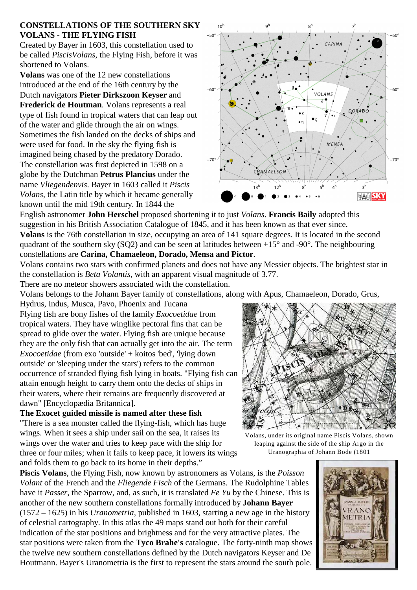## **CONSTELLATIONS OF THE SOUTHERN SKY VOLANS - THE FLYING FISH**

Created by Bayer in 1603, this constellation used to be called *PiscisVolans*, the Flying Fish, before it was shortened to Volans.

**Volans** was one of the 12 new constellations introduced at the end of the 16th century by the Dutch navigators **Pieter Dirkszoon Keyser** and **Frederick de Houtman**. Volans represents a real type of fish found in tropical waters that can leap out of the water and glide through the air on wings. Sometimes the fish landed on the decks of ships and were used for food. In the sky the flying fish is imagined being chased by the predatory Dorado. The constellation was first depicted in 1598 on a globe by the Dutchman **Petrus Plancius** under the name *Vliegendenvis*. Bayer in 1603 called it *Piscis Volans*, the Latin title by which it became generally known until the mid 19th century. In 1844 the



English astronomer **John Herschel** proposed shortening it to just *Volans*. **Francis Baily** adopted this suggestion in his British Association Catalogue of 1845, and it has been known as that ever since. **Volans** is the 76th constellation in size, occupying an area of 141 square degrees. It is located in the second quadrant of the southern sky (SQ2) and can be seen at latitudes between  $+15^{\circ}$  and -90°. The neighbouring constellations are **Carina, Chamaeleon, Dorado, Mensa and Pictor**.

Volans contains two stars with confirmed planets and does not have any Messier objects. The brightest star in the constellation is *Beta Volantis*, with an apparent visual magnitude of 3.77.

There are no meteor showers associated with the constellation.

Volans belongs to the Johann Bayer family of constellations, along with Apus, Chamaeleon, Dorado, Grus,

Hydrus, Indus, Musca, Pavo, Phoenix and Tucana Flying fish are bony fishes of the family *Exocoetidae* from tropical waters. They have winglike pectoral fins that can be spread to glide over the water. Flying fish are unique because they are the only fish that can actually get into the air. The term *Exocoetidae* (from exo 'outside' + koitos 'bed', 'lying down outside' or 'sleeping under the stars') refers to the common occurrence of stranded flying fish lying in boats. "Flying fish can attain enough height to carry them onto the decks of ships in their waters, where their remains are frequently discovered at dawn" [Encyclopædia Britannica].

**The Exocet guided missile is named after these fish**

"There is a sea monster called the flying-fish, which has huge wings. When it sees a ship under sail on the sea, it raises its wings over the water and tries to keep pace with the ship for three or four miles; when it fails to keep pace, it lowers its wings and folds them to go back to its home in their depths."

**Piscis Volans**, the Flying Fish, now known by astronomers as Volans, is the *Poisson Volant* of the French and the *Fliegende Fisch* of the Germans. The Rudolphine Tables have it *Passer*, the Sparrow, and, as such, it is translated *Fe Yu* by the Chinese. This is another of the new southern constellations formally introduced by **Johann Bayer** (1572 – 1625) in his *Uranometria*, published in 1603, starting a new age in the history of celestial cartography. In this atlas the 49 maps stand out both for their careful indication of the star positions and brightness and for the very attractive plates. The star positions were taken from the **Tyco Brahe's** catalogue. The forty-ninth map shows the twelve new southern constellations defined by the Dutch navigators Keyser and De Houtmann. Bayer's Uranometria is the first to represent the stars around the south pole.



Volans, under its original name Piscis Volans, shown leaping against the side of the ship Argo in the Uranographia of Johann Bode (1801